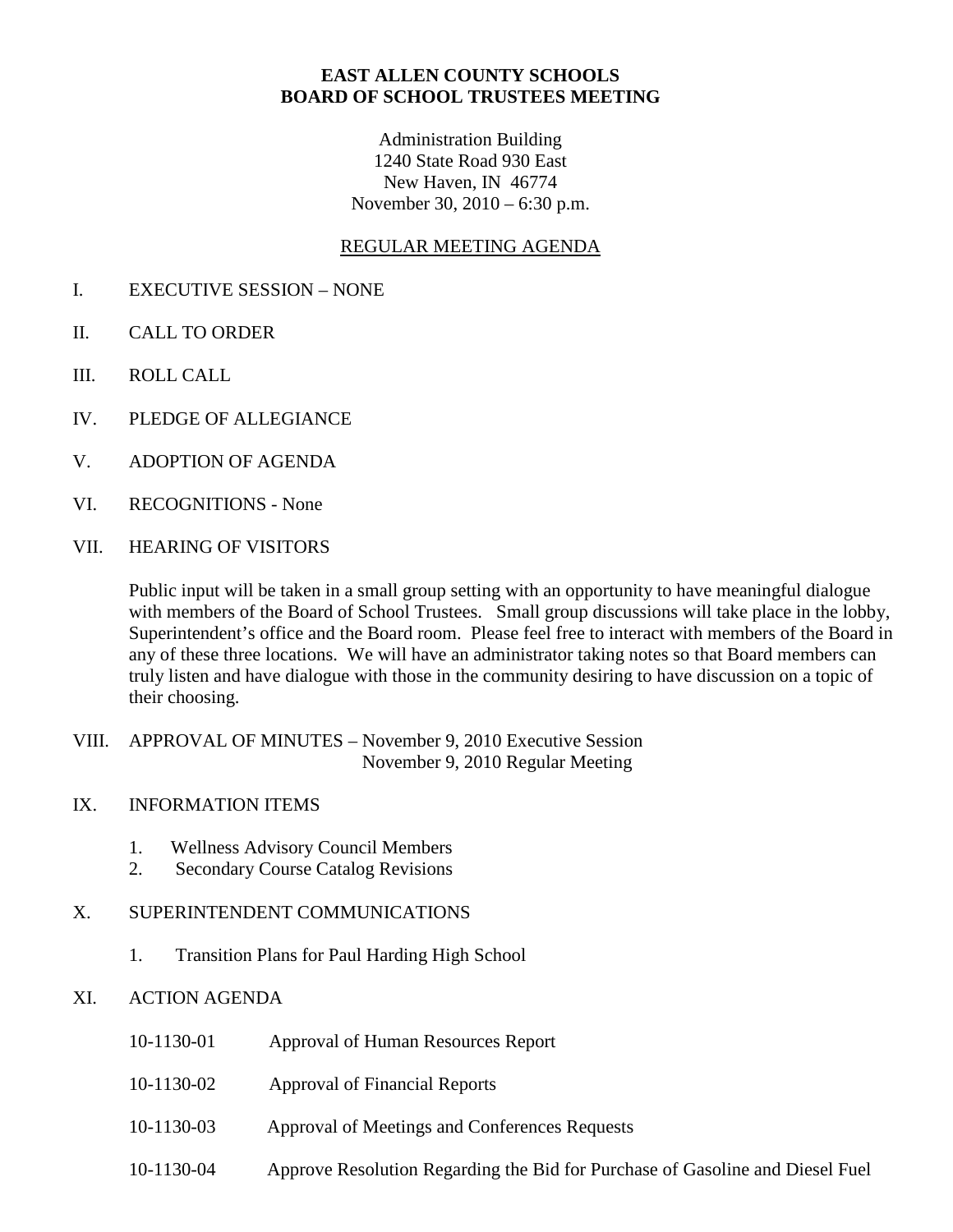### **EAST ALLEN COUNTY SCHOOLS BOARD OF SCHOOL TRUSTEES MEETING**

Administration Building 1240 State Road 930 East New Haven, IN 46774 November 30, 2010 – 6:30 p.m.

### REGULAR MEETING AGENDA

- I. EXECUTIVE SESSION NONE
- II. CALL TO ORDER
- III. ROLL CALL
- IV. PLEDGE OF ALLEGIANCE
- V. ADOPTION OF AGENDA
- VI. RECOGNITIONS None
- VII. HEARING OF VISITORS

Public input will be taken in a small group setting with an opportunity to have meaningful dialogue with members of the Board of School Trustees. Small group discussions will take place in the lobby, Superintendent's office and the Board room. Please feel free to interact with members of the Board in any of these three locations. We will have an administrator taking notes so that Board members can truly listen and have dialogue with those in the community desiring to have discussion on a topic of their choosing.

- VIII. APPROVAL OF MINUTES November 9, 2010 Executive Session November 9, 2010 Regular Meeting
- IX. INFORMATION ITEMS
	- 1. Wellness Advisory Council Members
	- 2. Secondary Course Catalog Revisions
- X. SUPERINTENDENT COMMUNICATIONS
	- 1. Transition Plans for Paul Harding High School
- XI. ACTION AGENDA
	- 10-1130-01 Approval of Human Resources Report
	- 10-1130-02 Approval of Financial Reports
	- 10-1130-03 Approval of Meetings and Conferences Requests
	- 10-1130-04 Approve Resolution Regarding the Bid for Purchase of Gasoline and Diesel Fuel